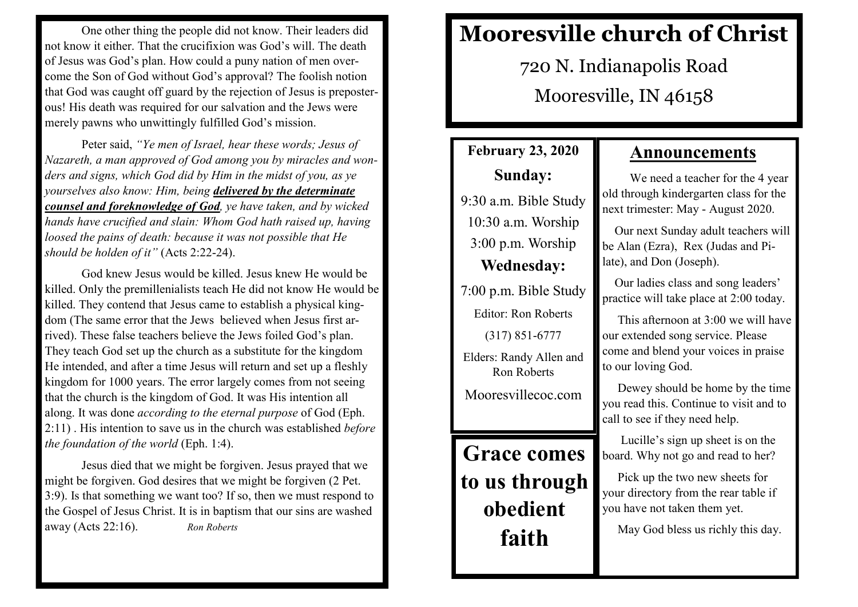One other thing the people did not know. Their leaders did not know it either. That the crucifixion was God's will. The death of Jesus was God's plan. How could a puny nation of men overcome the Son of God without God's approval? The foolish notion that God was caught off guard by the rejection of Jesus is preposterous! His death was required for our salvation and the Jews were merely pawns who unwittingly fulfilled God's mission.

Peter said, *"Ye men of Israel, hear these words; Jesus of Nazareth, a man approved of God among you by miracles and wonders and signs, which God did by Him in the midst of you, as ye yourselves also know: Him, being delivered by the determinate counsel and foreknowledge of God, ye have taken, and by wicked hands have crucified and slain: Whom God hath raised up, having loosed the pains of death: because it was not possible that He should be holden of it"* (Acts 2:22-24).

God knew Jesus would be killed. Jesus knew He would be killed. Only the premillenialists teach He did not know He would be killed. They contend that Jesus came to establish a physical kingdom (The same error that the Jews believed when Jesus first arrived). These false teachers believe the Jews foiled God's plan. They teach God set up the church as a substitute for the kingdom He intended, and after a time Jesus will return and set up a fleshly kingdom for 1000 years. The error largely comes from not seeing that the church is the kingdom of God. It was His intention all along. It was done *according to the eternal purpose* of God (Eph. 2:11) . His intention to save us in the church was established *before the foundation of the world* (Eph. 1:4).

Jesus died that we might be forgiven. Jesus prayed that we might be forgiven. God desires that we might be forgiven (2 Pet. 3:9). Is that something we want too? If so, then we must respond to the Gospel of Jesus Christ. It is in baptism that our sins are washed away (Acts 22:16). *Ron Roberts*

## **Mooresville church of Christ**

720 N. Indianapolis Road Mooresville, IN 46158

## **February 23, 2020 Sunday:**

9:30 a.m. Bible Study 10:30 a.m. Worship 3:00 p.m. Worship **Wednesday:**

7:00 p.m. Bible Study

Editor: Ron Roberts

(317) 851-6777

Elders: Randy Allen and Ron Roberts

Mooresvillecoc.com

**Grace comes to us through obedient faith**

## **Announcements**

 We need a teacher for the 4 year old through kindergarten class for the next trimester: May - August 2020.

 Our next Sunday adult teachers will be Alan (Ezra), Rex (Judas and Pilate), and Don (Joseph).

 Our ladies class and song leaders' practice will take place at 2:00 today.

 This afternoon at 3:00 we will have our extended song service. Please come and blend your voices in praise to our loving God.

 Dewey should be home by the time you read this. Continue to visit and to call to see if they need help.

 Lucille's sign up sheet is on the board. Why not go and read to her?

 Pick up the two new sheets for your directory from the rear table if you have not taken them yet.

May God bless us richly this day.